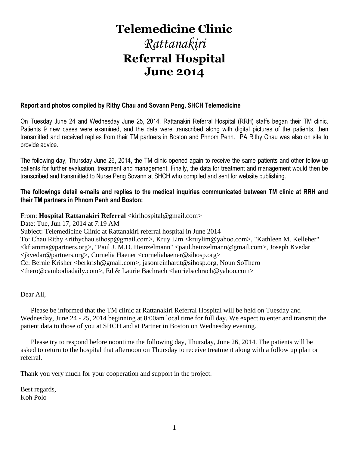# **Telemedicine Clinic** *Rattanakiri* **Referral Hospital June 2014**

### **Report and photos compiled by Rithy Chau and Sovann Peng, SHCH Telemedicine**

On Tuesday June 24 and Wednesday June 25, 2014, Rattanakiri Referral Hospital (RRH) staffs began their TM clinic. Patients 9 new cases were examined, and the data were transcribed along with digital pictures of the patients, then transmitted and received replies from their TM partners in Boston and Phnom Penh. PA Rithy Chau was also on site to provide advice.

The following day, Thursday June 26, 2014, the TM clinic opened again to receive the same patients and other follow-up patients for further evaluation, treatment and management. Finally, the data for treatment and management would then be transcribed and transmitted to Nurse Peng Sovann at SHCH who compiled and sent for website publishing.

### **The followings detail e-mails and replies to the medical inquiries communicated between TM clinic at RRH and their TM partners in Phnom Penh and Boston:**

### From: Hospital Rattanakiri Referral <kirihospital@gmail.com>

Date: Tue, Jun 17, 2014 at 7:19 AM Subject: Telemedicine Clinic at Rattanakiri referral hospital in June 2014 To: Chau Rithy <rithychau.sihosp@gmail.com>, Kruy Lim <kruylim@yahoo.com>, "Kathleen M. Kelleher" <kfiamma@partners.org>, "Paul J. M.D. Heinzelmann" <paul.heinzelmann@gmail.com>, Joseph Kvedar <jkvedar@partners.org>, Cornelia Haener <corneliahaener@sihosp.org> Cc: Bernie Krisher <berkrish@gmail.com>, jasonreinhardt@sihosp.org, Noun SoThero <thero@cambodiadaily.com>, Ed & Laurie Bachrach <lauriebachrach@yahoo.com>

Dear All,

 Please be informed that the TM clinic at Rattanakiri Referral Hospital will be held on Tuesday and Wednesday, June 24 - 25, 2014 beginning at 8:00am local time for full day. We expect to enter and transmit the patient data to those of you at SHCH and at Partner in Boston on Wednesday evening.

 Please try to respond before noontime the following day, Thursday, June 26, 2014. The patients will be asked to return to the hospital that afternoon on Thursday to receive treatment along with a follow up plan or referral.

Thank you very much for your cooperation and support in the project.

Best regards, Koh Polo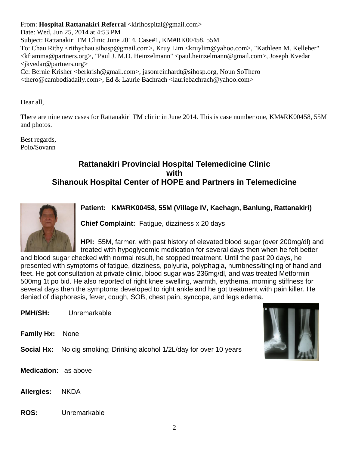From: Hospital Rattanakiri Referral <kirihospital@gmail.com>

Date: Wed, Jun 25, 2014 at 4:53 PM Subject: Rattanakiri TM Clinic June 2014, Case#1, KM#RK00458, 55M To: Chau Rithy <rithychau.sihosp@gmail.com>, Kruy Lim <kruylim@yahoo.com>, "Kathleen M. Kelleher" <kfiamma@partners.org>, "Paul J. M.D. Heinzelmann" <paul.heinzelmann@gmail.com>, Joseph Kvedar <jkvedar@partners.org> Cc: Bernie Krisher <berkrish@gmail.com>, jasonreinhardt@sihosp.org, Noun SoThero <thero@cambodiadaily.com>, Ed & Laurie Bachrach <lauriebachrach@yahoo.com>

Dear all,

There are nine new cases for Rattanakiri TM clinic in June 2014. This is case number one, KM#RK00458, 55M and photos.

Best regards, Polo/Sovann

## **Rattanakiri Provincial Hospital Telemedicine Clinic with Sihanouk Hospital Center of HOPE and Partners in Telemedicine**



**Patient: KM#RK00458, 55M (Village IV, Kachagn, Banlung, Rattanakiri)**

**Chief Complaint:** Fatigue, dizziness x 20 days

**HPI:** 55M, farmer, with past history of elevated blood sugar (over 200mg/dl) and treated with hypoglycemic medication for several days then when he felt better

and blood sugar checked with normal result, he stopped treatment. Until the past 20 days, he presented with symptoms of fatigue, dizziness, polyuria, polyphagia, numbness/tingling of hand and feet. He got consultation at private clinic, blood sugar was 236mg/dl, and was treated Metformin 500mg 1t po bid. He also reported of right knee swelling, warmth, erythema, morning stiffness for several days then the symptoms developed to right ankle and he got treatment with pain killer. He denied of diaphoresis, fever, cough, SOB, chest pain, syncope, and legs edema.

**PMH/SH:** Unremarkable

**Family Hx:** None

**Social Hx:** No cig smoking; Drinking alcohol 1/2L/day for over 10 years



**Medication:** as above

**Allergies:** NKDA

### **ROS:** Unremarkable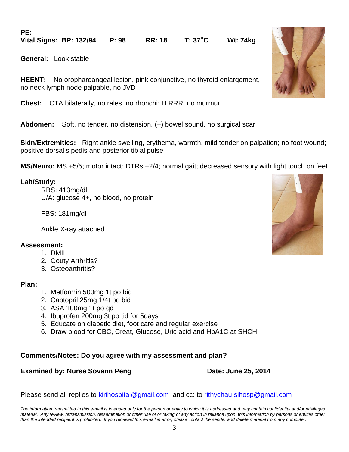**PE:**

**Vital Signs: BP: 132/94 P: 98 RR: 18 T: 37<sup>o</sup>C Wt: 74kg** 

**General:** Look stable

**HEENT:** No orophareangeal lesion, pink conjunctive, no thyroid enlargement, no neck lymph node palpable, no JVD

**Chest:** CTA bilaterally, no rales, no rhonchi; H RRR, no murmur

**Abdomen:** Soft, no tender, no distension, (+) bowel sound, no surgical scar

**Skin/Extremities:** Right ankle swelling, erythema, warmth, mild tender on palpation; no foot wound; positive dorsalis pedis and posterior tibial pulse

**MS/Neuro:** MS +5/5; motor intact; DTRs +2/4; normal gait; decreased sensory with light touch on feet

### **Lab/Study:**

RBS: 413mg/dl U/A: glucose 4+, no blood, no protein

FBS: 181mg/dl

Ankle X-ray attached

### **Assessment:**

- 1. DMII
- 2. Gouty Arthritis?
- 3. Osteoarthritis?

### **Plan:**

- 1. Metformin 500mg 1t po bid
- 2. Captopril 25mg 1/4t po bid
- 3. ASA 100mg 1t po qd
- 4. Ibuprofen 200mg 3t po tid for 5days
- 5. Educate on diabetic diet, foot care and regular exercise
- 6. Draw blood for CBC, Creat, Glucose, Uric acid and HbA1C at SHCH

### **Comments/Notes: Do you agree with my assessment and plan?**

### **Examined by: Nurse Sovann Peng Date: June 25, 2014**

Please send all replies to [kirihospital@gmail.com](mailto:kirihospital@gmail.com) and cc: to [rithychau.sihosp@gmail.com](mailto:rithychau@sihosp.org)

*The information transmitted in this e-mail is intended only for the person or entity to which it is addressed and may contain confidential and/or privileged material. Any review, retransmission, dissemination or other use of or taking of any action in reliance upon, this information by persons or entities other than the intended recipient is prohibited. If you received this e-mail in error, please contact the sender and delete material from any computer.*



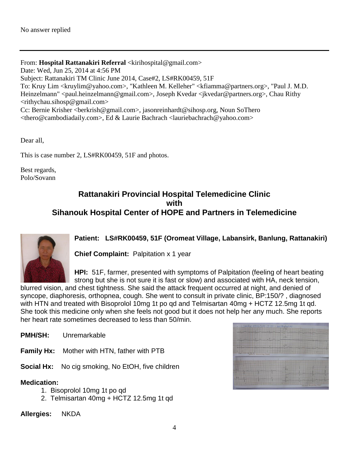From: Hospital Rattanakiri Referral <kirihospital@gmail.com> Date: Wed, Jun 25, 2014 at 4:56 PM Subject: Rattanakiri TM Clinic June 2014, Case#2, LS#RK00459, 51F To: Kruy Lim <kruylim@yahoo.com>, "Kathleen M. Kelleher" <kfiamma@partners.org>, "Paul J. M.D. Heinzelmann" <paul.heinzelmann@gmail.com>, Joseph Kvedar <jkvedar@partners.org>, Chau Rithy <rithychau.sihosp@gmail.com> Cc: Bernie Krisher <berkrish@gmail.com>, jasonreinhardt@sihosp.org, Noun SoThero <thero@cambodiadaily.com>, Ed & Laurie Bachrach <lauriebachrach@yahoo.com>

Dear all,

This is case number 2, LS#RK00459, 51F and photos.

Best regards, Polo/Sovann

### **Rattanakiri Provincial Hospital Telemedicine Clinic with Sihanouk Hospital Center of HOPE and Partners in Telemedicine**



**Patient: LS#RK00459, 51F (Oromeat Village, Labansirk, Banlung, Rattanakiri)**

**Chief Complaint:** Palpitation x 1 year

**HPI:** 51F, farmer, presented with symptoms of Palpitation (feeling of heart beating strong but she is not sure it is fast or slow) and associated with HA, neck tension,

blurred vision, and chest tightness. She said the attack frequent occurred at night, and denied of syncope, diaphoresis, orthopnea, cough. She went to consult in private clinic, BP:150/? , diagnosed with HTN and treated with Bisoprolol 10mg 1t po qd and Telmisartan 40mg + HCTZ 12.5mg 1t qd. She took this medicine only when she feels not good but it does not help her any much. She reports her heart rate sometimes decreased to less than 50/min.

**PMH/SH:** Unremarkable

**Family Hx:** Mother with HTN, father with PTB

**Social Hx:** No cig smoking, No EtOH, five children

### **Medication:**

- 1. Bisoprolol 10mg 1t po qd
- 2. Telmisartan 40mg + HCTZ 12.5mg 1t qd

**Allergies:** NKDA

|                                               | LSHRK004595F15404 | <b>INVEC</b>            |                         |  |
|-----------------------------------------------|-------------------|-------------------------|-------------------------|--|
| للخنا                                         |                   |                         |                         |  |
|                                               |                   | $\alpha$ V <sub>L</sub> |                         |  |
| <b>SEU</b>                                    |                   | <b>In V31</b>           |                         |  |
| $\frac{1}{2}$<br>HITTH AND AT Recording Paper |                   |                         |                         |  |
|                                               |                   |                         |                         |  |
|                                               |                   | ж                       |                         |  |
| $-1/4$                                        |                   | UG.                     |                         |  |
|                                               |                   |                         | Mediust Recording Paper |  |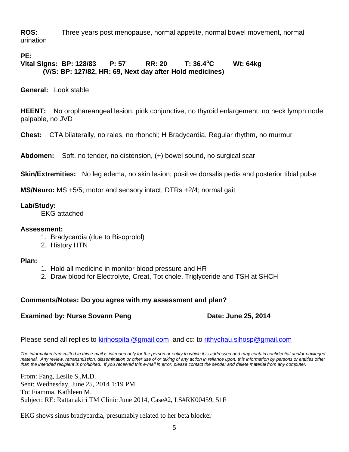**ROS:** Three years post menopause, normal appetite, normal bowel movement, normal urination

### **PE:**

**Vital Signs: BP: 128/83 P: 57 RR: 20 T: 36.4<sup>o</sup>C Wt: 64kg (V/S: BP: 127/82, HR: 69, Next day after Hold medicines)**

**General:** Look stable

**HEENT:** No orophareangeal lesion, pink conjunctive, no thyroid enlargement, no neck lymph node palpable, no JVD

**Chest:** CTA bilaterally, no rales, no rhonchi; H Bradycardia, Regular rhythm, no murmur

**Abdomen:** Soft, no tender, no distension, (+) bowel sound, no surgical scar

**Skin/Extremities:** No leg edema, no skin lesion; positive dorsalis pedis and posterior tibial pulse

**MS/Neuro:** MS +5/5; motor and sensory intact; DTRs +2/4; normal gait

**Lab/Study:** 

EKG attached

### **Assessment:**

- 1. Bradycardia (due to Bisoprolol)
- 2. History HTN

### **Plan:**

- 1. Hold all medicine in monitor blood pressure and HR
- 2. Draw blood for Electrolyte, Creat, Tot chole, Triglyceride and TSH at SHCH

### **Comments/Notes: Do you agree with my assessment and plan?**

### **Examined by: Nurse Sovann Peng Date: June 25, 2014**

Please send all replies to [kirihospital@gmail.com](mailto:kirihospital@gmail.com) and cc: to [rithychau.sihosp@gmail.com](mailto:rithychau@sihosp.org)

*The information transmitted in this e-mail is intended only for the person or entity to which it is addressed and may contain confidential and/or privileged material. Any review, retransmission, dissemination or other use of or taking of any action in reliance upon, this information by persons or entities other than the intended recipient is prohibited. If you received this e-mail in error, please contact the sender and delete material from any computer.*

From: Fang, Leslie S.,M.D. Sent: Wednesday, June 25, 2014 1:19 PM To: Fiamma, Kathleen M. Subject: RE: Rattanakiri TM Clinic June 2014, Case#2, LS#RK00459, 51F

EKG shows sinus bradycardia, presumably related to her beta blocker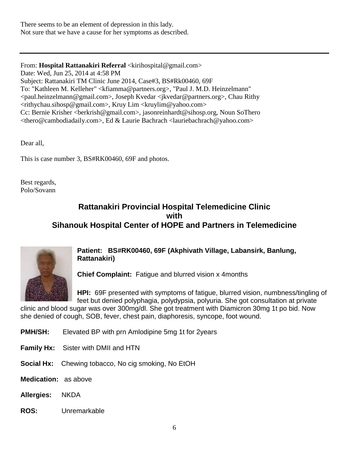There seems to be an element of depression in this lady. Not sure that we have a cause for her symptoms as described.

From: Hospital Rattanakiri Referral <kirihospital@gmail.com> Date: Wed, Jun 25, 2014 at 4:58 PM Subject: Rattanakiri TM Clinic June 2014, Case#3, BS#Rk00460, 69F To: "Kathleen M. Kelleher" <kfiamma@partners.org>, "Paul J. M.D. Heinzelmann" <paul.heinzelmann@gmail.com>, Joseph Kvedar <jkvedar@partners.org>, Chau Rithy <rithychau.sihosp@gmail.com>, Kruy Lim <kruylim@yahoo.com> Cc: Bernie Krisher <berkrish@gmail.com>, jasonreinhardt@sihosp.org, Noun SoThero <thero@cambodiadaily.com>, Ed & Laurie Bachrach <lauriebachrach@yahoo.com>

Dear all,

This is case number 3, BS#RK00460, 69F and photos.

Best regards, Polo/Sovann

### **Rattanakiri Provincial Hospital Telemedicine Clinic with Sihanouk Hospital Center of HOPE and Partners in Telemedicine**



**Patient: BS#RK00460, 69F (Akphivath Village, Labansirk, Banlung, Rattanakiri)**

**Chief Complaint:** Fatigue and blurred vision x 4months

**HPI:** 69F presented with symptoms of fatigue, blurred vision, numbness/tingling of feet but denied polyphagia, polydypsia, polyuria. She got consultation at private

clinic and blood sugar was over 300mg/dl. She got treatment with Diamicron 30mg 1t po bid. Now she denied of cough, SOB, fever, chest pain, diaphoresis, syncope, foot wound.

- **PMH/SH:** Elevated BP with prn Amlodipine 5mg 1t for 2years
- **Family Hx:** Sister with DMII and HTN
- **Social Hx:** Chewing tobacco, No cig smoking, No EtOH
- **Medication:** as above
- **Allergies:** NKDA
- **ROS:** Unremarkable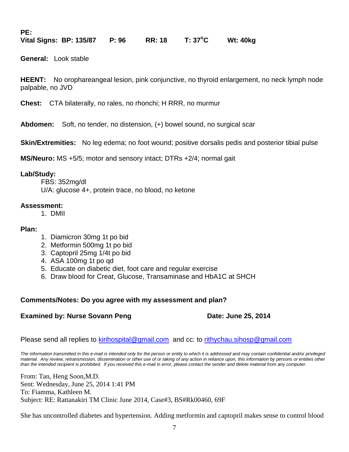**PE:**

**Vital Signs: BP: 135/87 P: 96 RR: 18 T: 37<sup>o</sup>C Wt: 40kg** 

**General:** Look stable

**HEENT:** No orophareangeal lesion, pink conjunctive, no thyroid enlargement, no neck lymph node palpable, no JVD

**Chest:** CTA bilaterally, no rales, no rhonchi; H RRR, no murmur

**Abdomen:** Soft, no tender, no distension, (+) bowel sound, no surgical scar

**Skin/Extremities:** No leg edema; no foot wound; positive dorsalis pedis and posterior tibial pulse

**MS/Neuro:** MS +5/5; motor and sensory intact; DTRs +2/4; normal gait

### **Lab/Study:**

FBS: 352mg/dl U/A: glucose 4+, protein trace, no blood, no ketone

### **Assessment:**

1. DMII

### **Plan:**

- 1. Diamicron 30mg 1t po bid
- 2. Metformin 500mg 1t po bid
- 3. Captopril 25mg 1/4t po bid
- 4. ASA 100mg 1t po qd
- 5. Educate on diabetic diet, foot care and regular exercise
- 6. Draw blood for Creat, Glucose, Transaminase and HbA1C at SHCH

### **Comments/Notes: Do you agree with my assessment and plan?**

### **Examined by: Nurse Sovann Peng Date: June 25, 2014**

Please send all replies to [kirihospital@gmail.com](mailto:kirihospital@gmail.com) and cc: to [rithychau.sihosp@gmail.com](mailto:rithychau@sihosp.org)

*The information transmitted in this e-mail is intended only for the person or entity to which it is addressed and may contain confidential and/or privileged*  material. Any review, retransmission, dissemination or other use of or taking of any action in reliance upon, this information by persons or entities other *than the intended recipient is prohibited. If you received this e-mail in error, please contact the sender and delete material from any computer.*

From: Tan, Heng Soon,M.D. Sent: Wednesday, June 25, 2014 1:41 PM To: Fiamma, Kathleen M. Subject: RE: Rattanakiri TM Clinic June 2014, Case#3, BS#Rk00460, 69F

She has uncontrolled diabetes and hypertension. Adding metformin and captopril makes sense to control blood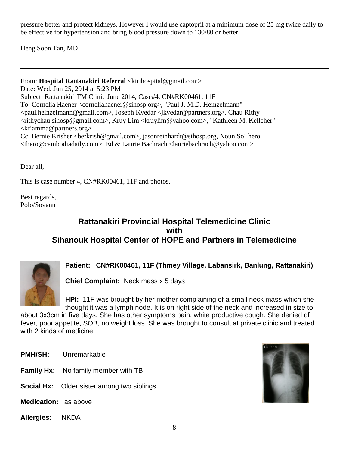pressure better and protect kidneys. However I would use captopril at a minimum dose of 25 mg twice daily to be effective for hypertension and bring blood pressure down to 130/80 or better.

Heng Soon Tan, MD

From: Hospital Rattanakiri Referral <kirihospital@gmail.com> Date: Wed, Jun 25, 2014 at 5:23 PM Subject: Rattanakiri TM Clinic June 2014, Case#4, CN#RK00461, 11F To: Cornelia Haener <corneliahaener@sihosp.org>, "Paul J. M.D. Heinzelmann" <paul.heinzelmann@gmail.com>, Joseph Kvedar <jkvedar@partners.org>, Chau Rithy <rithychau.sihosp@gmail.com>, Kruy Lim <kruylim@yahoo.com>, "Kathleen M. Kelleher"  $\leq$ kfiamma@partners.org> Cc: Bernie Krisher <berkrish@gmail.com>, jasonreinhardt@sihosp.org, Noun SoThero <thero@cambodiadaily.com>, Ed & Laurie Bachrach <lauriebachrach@yahoo.com>

Dear all,

This is case number 4, CN#RK00461, 11F and photos.

Best regards, Polo/Sovann

## **Rattanakiri Provincial Hospital Telemedicine Clinic with Sihanouk Hospital Center of HOPE and Partners in Telemedicine**



### **Patient: CN#RK00461, 11F (Thmey Village, Labansirk, Banlung, Rattanakiri)**

**Chief Complaint:** Neck mass x 5 days

**HPI:** 11F was brought by her mother complaining of a small neck mass which she thought it was a lymph node. It is on right side of the neck and increased in size to

about 3x3cm in five days. She has other symptoms pain, white productive cough. She denied of fever, poor appetite, SOB, no weight loss. She was brought to consult at private clinic and treated with 2 kinds of medicine.

- **PMH/SH:** Unremarkable
- **Family Hx:** No family member with TB
- **Social Hx:** Older sister among two siblings
- **Medication:** as above
- **Allergies:** NKDA

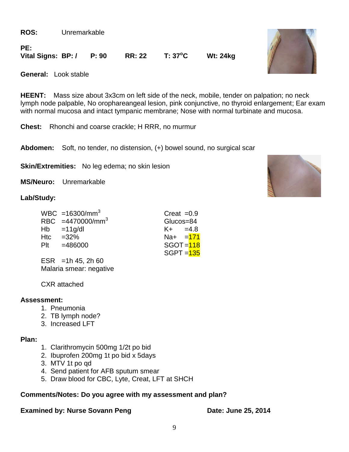**ROS:** Unremarkable

**PE:**

**Vital Signs: BP: / P: 90 RR: 22 T: 37<sup>o</sup>C Wt: 24kg** 

**General:** Look stable

**HEENT:** Mass size about 3x3cm on left side of the neck, mobile, tender on palpation; no neck lymph node palpable, No orophareangeal lesion, pink conjunctive, no thyroid enlargement; Ear exam with normal mucosa and intact tympanic membrane; Nose with normal turbinate and mucosa.

**Chest:** Rhonchi and coarse crackle; H RRR, no murmur

**Abdomen:** Soft, no tender, no distension, (+) bowel sound, no surgical scar

**Skin/Extremities:** No leg edema; no skin lesion

**MS/Neuro:** Unremarkable

### **Lab/Study:**

|     | WBC =16300/mm <sup>3</sup> | Creat $=0.9$ |  |
|-----|----------------------------|--------------|--|
|     | RBC $=4470000/mm^3$        | Glucos=84    |  |
|     | $Hb = 11g/dl$              | $K + = 4.8$  |  |
| Htc | $=32%$                     | $Na+ = 171$  |  |
|     | $P1t = 486000$             | $SGOT = 118$ |  |
|     |                            | $SGPT = 135$ |  |
|     | $FCD = 4hAE - 2hE$         |              |  |

ESR = 1h 45, 2h 60 Malaria smear: negative

CXR attached

### **Assessment:**

- 1. Pneumonia
- 2. TB lymph node?
- 3. Increased LFT

### **Plan:**

- 1. Clarithromycin 500mg 1/2t po bid
- 2. Ibuprofen 200mg 1t po bid x 5days
- 3. MTV 1t po qd
- 4. Send patient for AFB sputum smear
- 5. Draw blood for CBC, Lyte, Creat, LFT at SHCH

### **Comments/Notes: Do you agree with my assessment and plan?**

### **Examined by: Nurse Sovann Peng Date: June 25, 2014**

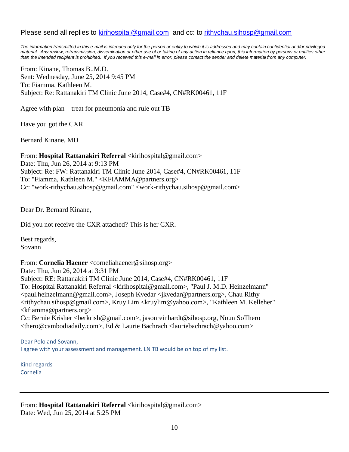### Please send all replies to [kirihospital@gmail.com](mailto:kirihospital@gmail.com) and cc: to [rithychau.sihosp@gmail.com](mailto:rithychau@sihosp.org)

*The information transmitted in this e-mail is intended only for the person or entity to which it is addressed and may contain confidential and/or privileged material. Any review, retransmission, dissemination or other use of or taking of any action in reliance upon, this information by persons or entities other than the intended recipient is prohibited. If you received this e-mail in error, please contact the sender and delete material from any computer.*

From: Kinane, Thomas B.,M.D. Sent: Wednesday, June 25, 2014 9:45 PM To: Fiamma, Kathleen M. Subject: Re: Rattanakiri TM Clinic June 2014, Case#4, CN#RK00461, 11F

Agree with plan – treat for pneumonia and rule out TB

Have you got the CXR

Bernard Kinane, MD

From: Hospital Rattanakiri Referral <kirihospital@gmail.com> Date: Thu, Jun 26, 2014 at 9:13 PM Subject: Re: FW: Rattanakiri TM Clinic June 2014, Case#4, CN#RK00461, 11F To: "Fiamma, Kathleen M." <KFIAMMA@partners.org> Cc: "work-rithychau.sihosp@gmail.com" <work-rithychau.sihosp@gmail.com>

Dear Dr. Bernard Kinane,

Did you not receive the CXR attached? This is her CXR.

Best regards, Sovann

From: **Cornelia Haener** <corneliahaener@sihosp.org> Date: Thu, Jun 26, 2014 at 3:31 PM Subject: RE: Rattanakiri TM Clinic June 2014, Case#4, CN#RK00461, 11F To: Hospital Rattanakiri Referral <kirihospital@gmail.com>, "Paul J. M.D. Heinzelmann" <paul.heinzelmann@gmail.com>, Joseph Kvedar <jkvedar@partners.org>, Chau Rithy <rithychau.sihosp@gmail.com>, Kruy Lim <kruylim@yahoo.com>, "Kathleen M. Kelleher"  $\langle k$ fiamma@partners.org $>$ Cc: Bernie Krisher <berkrish@gmail.com>, jasonreinhardt@sihosp.org, Noun SoThero <thero@cambodiadaily.com>, Ed & Laurie Bachrach <lauriebachrach@yahoo.com>

Dear Polo and Sovann, I agree with your assessment and management. LN TB would be on top of my list.

Kind regards Cornelia

From: Hospital Rattanakiri Referral <kirihospital@gmail.com> Date: Wed, Jun 25, 2014 at 5:25 PM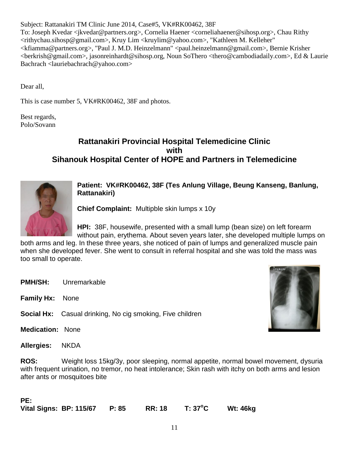Subject: Rattanakiri TM Clinic June 2014, Case#5, VK#RK00462, 38F To: Joseph Kvedar <jkvedar@partners.org>, Cornelia Haener <corneliahaener@sihosp.org>, Chau Rithy <rithychau.sihosp@gmail.com>, Kruy Lim <kruylim@yahoo.com>, "Kathleen M. Kelleher" <kfiamma@partners.org>, "Paul J. M.D. Heinzelmann" <paul.heinzelmann@gmail.com>, Bernie Krisher <berkrish@gmail.com>, jasonreinhardt@sihosp.org, Noun SoThero <thero@cambodiadaily.com>, Ed & Laurie Bachrach <lauriebachrach@yahoo.com>

Dear all,

This is case number 5, VK#RK00462, 38F and photos.

Best regards, Polo/Sovann

## **Rattanakiri Provincial Hospital Telemedicine Clinic with Sihanouk Hospital Center of HOPE and Partners in Telemedicine**



**Patient: VK#RK00462, 38F (Tes Anlung Village, Beung Kanseng, Banlung, Rattanakiri)**

**Chief Complaint:** Multipble skin lumps x 10y

**HPI:** 38F, housewife, presented with a small lump (bean size) on left forearm without pain, erythema. About seven years later, she developed multiple lumps on

both arms and leg. In these three years, she noticed of pain of lumps and generalized muscle pain when she developed fever. She went to consult in referral hospital and she was told the mass was too small to operate.

- **PMH/SH:** Unremarkable
- **Family Hx:** None

**Social Hx:** Casual drinking, No cig smoking, Five children

**Medication:** None

**Allergies:** NKDA

**ROS:** Weight loss 15kg/3y, poor sleeping, normal appetite, normal bowel movement, dysuria with frequent urination, no tremor, no heat intolerance; Skin rash with itchy on both arms and lesion after ants or mosquitoes bite

| PE: |                               |               |         |          |
|-----|-------------------------------|---------------|---------|----------|
|     | Vital Signs: BP: 115/67 P: 85 | <b>RR: 18</b> | T: 37°C | Wt: 46kg |

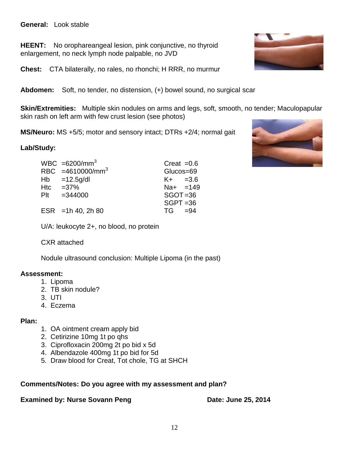### **General:** Look stable

**HEENT:** No orophareangeal lesion, pink conjunctive, no thyroid enlargement, no neck lymph node palpable, no JVD

**Chest:** CTA bilaterally, no rales, no rhonchi; H RRR, no murmur

**Abdomen:** Soft, no tender, no distension, (+) bowel sound, no surgical scar

**Skin/Extremities:** Multiple skin nodules on arms and legs, soft, smooth, no tender; Maculopapular skin rash on left arm with few crust lesion (see photos)

**MS/Neuro:** MS +5/5; motor and sensory intact; DTRs +2/4; normal gait

### **Lab/Study:**

| $WBC = 6200/mm^3$            | Creat $=0.6$ |  |
|------------------------------|--------------|--|
| RBC =4610000/mm <sup>3</sup> | Glucos=69    |  |
| $Hb = 12.5g/dl$              | $K + =3.6$   |  |
| Htc $=37\%$                  | $Na+ = 149$  |  |
| $PIt = 344000$               | $SGOT = 36$  |  |
|                              | $SGPT = 36$  |  |
| ESR = 1h 40, 2h 80           | $TG = 94$    |  |

U/A: leukocyte 2+, no blood, no protein

### CXR attached

Nodule ultrasound conclusion: Multiple Lipoma (in the past)

### **Assessment:**

- 1. Lipoma
- 2. TB skin nodule?
- 3. UTI
- 4. Eczema

### **Plan:**

- 1. OA ointment cream apply bid
- 2. Cetirizine 10mg 1t po qhs
- 3. Ciprofloxacin 200mg 2t po bid x 5d
- 4. Albendazole 400mg 1t po bid for 5d
- 5. Draw blood for Creat, Tot chole, TG at SHCH

### **Comments/Notes: Do you agree with my assessment and plan?**

### **Examined by: Nurse Sovann Peng Date: June 25, 2014**



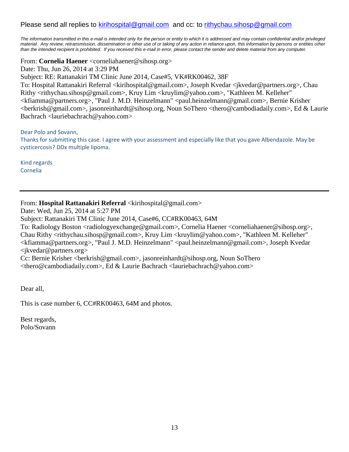### Please send all replies to [kirihospital@gmail.com](mailto:kirihospital@gmail.com) and cc: to [rithychau.sihosp@gmail.com](mailto:rithychau@sihosp.org)

*The information transmitted in this e-mail is intended only for the person or entity to which it is addressed and may contain confidential and/or privileged material. Any review, retransmission, dissemination or other use of or taking of any action in reliance upon, this information by persons or entities other than the intended recipient is prohibited. If you received this e-mail in error, please contact the sender and delete material from any computer.*

From: **Cornelia Haener** <corneliahaener@sihosp.org>

Date: Thu, Jun 26, 2014 at 3:29 PM Subject: RE: Rattanakiri TM Clinic June 2014, Case#5, VK#RK00462, 38F To: Hospital Rattanakiri Referral <kirihospital@gmail.com>, Joseph Kvedar <jkvedar@partners.org>, Chau Rithy <rithychau.sihosp@gmail.com>, Kruy Lim <kruylim@yahoo.com>, "Kathleen M. Kelleher" <kfiamma@partners.org>, "Paul J. M.D. Heinzelmann" <paul.heinzelmann@gmail.com>, Bernie Krisher <berkrish@gmail.com>, jasonreinhardt@sihosp.org, Noun SoThero <thero@cambodiadaily.com>, Ed & Laurie Bachrach <lauriebachrach@yahoo.com>

Dear Polo and Sovann, Thanks for submitting this case. I agree with your assessment and especially like that you gave Albendazole. May be cysticercosis? DDx multiple lipoma.

Kind regards Cornelia

### From: **Hospital Rattanakiri Referral** <kirihospital@gmail.com>

Date: Wed, Jun 25, 2014 at 5:27 PM

Subject: Rattanakiri TM Clinic June 2014, Case#6, CC#RK00463, 64M

To: Radiology Boston <radiologyexchange@gmail.com>, Cornelia Haener <corneliahaener@sihosp.org>, Chau Rithy <rithychau.sihosp@gmail.com>, Kruy Lim <kruylim@yahoo.com>, "Kathleen M. Kelleher" <kfiamma@partners.org>, "Paul J. M.D. Heinzelmann" <paul.heinzelmann@gmail.com>, Joseph Kvedar <jkvedar@partners.org>

Cc: Bernie Krisher <berkrish@gmail.com>, jasonreinhardt@sihosp.org, Noun SoThero <thero@cambodiadaily.com>, Ed & Laurie Bachrach <lauriebachrach@yahoo.com>

Dear all,

This is case number 6, CC#RK00463, 64M and photos.

Best regards, Polo/Sovann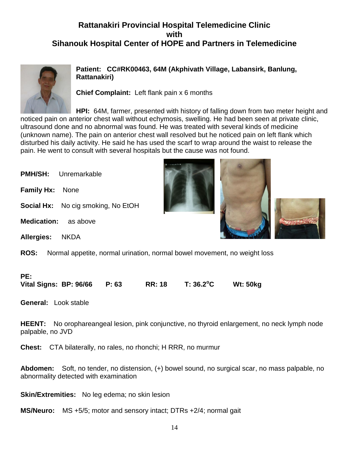## **Rattanakiri Provincial Hospital Telemedicine Clinic with Sihanouk Hospital Center of HOPE and Partners in Telemedicine**



**Patient: CC#RK00463, 64M (Akphivath Village, Labansirk, Banlung, Rattanakiri)**

**Chief Complaint:** Left flank pain x 6 months

**HPI:** 64M, farmer, presented with history of falling down from two meter height and noticed pain on anterior chest wall without echymosis, swelling. He had been seen at private clinic, ultrasound done and no abnormal was found. He was treated with several kinds of medicine (unknown name). The pain on anterior chest wall resolved but he noticed pain on left flank which disturbed his daily activity. He said he has used the scarf to wrap around the waist to release the pain. He went to consult with several hospitals but the cause was not found.

| <b>PMH/SH:</b><br>Unremarkable            |                                                                          |
|-------------------------------------------|--------------------------------------------------------------------------|
| <b>Family Hx:</b><br>None                 |                                                                          |
| <b>Social Hx:</b> No cig smoking, No EtOH |                                                                          |
| <b>Medication:</b><br>as above            |                                                                          |
| <b>Allergies:</b><br><b>NKDA</b>          |                                                                          |
| <b>ROS:</b>                               | Normal appetite, normal urination, normal bowel movement, no weight loss |
|                                           |                                                                          |

### **PE: Vital Signs: BP: 96/66 P: 63 RR: 18 T: 36.2<sup>o</sup>C Wt: 50kg**

**General:** Look stable

**HEENT:** No orophareangeal lesion, pink conjunctive, no thyroid enlargement, no neck lymph node palpable, no JVD

**Chest:** CTA bilaterally, no rales, no rhonchi; H RRR, no murmur

**Abdomen:** Soft, no tender, no distension, (+) bowel sound, no surgical scar, no mass palpable, no abnormality detected with examination

**Skin/Extremities:** No leg edema; no skin lesion

**MS/Neuro:** MS +5/5; motor and sensory intact; DTRs +2/4; normal gait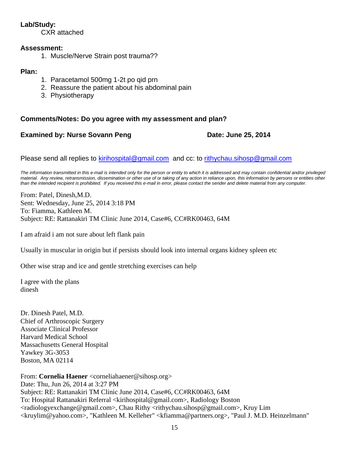### **Lab/Study:**

CXR attached

### **Assessment:**

1. Muscle/Nerve Strain post trauma??

### **Plan:**

- 1. Paracetamol 500mg 1-2t po qid prn
- 2. Reassure the patient about his abdominal pain
- 3. Physiotherapy

### **Comments/Notes: Do you agree with my assessment and plan?**

### **Examined by: Nurse Sovann Peng Date: June 25, 2014**

Please send all replies to [kirihospital@gmail.com](mailto:kirihospital@gmail.com) and cc: to [rithychau.sihosp@gmail.com](mailto:rithychau@sihosp.org)

*The information transmitted in this e-mail is intended only for the person or entity to which it is addressed and may contain confidential and/or privileged*  material. Any review, retransmission, dissemination or other use of or taking of any action in reliance upon, this information by persons or entities other *than the intended recipient is prohibited. If you received this e-mail in error, please contact the sender and delete material from any computer.*

From: Patel, Dinesh,M.D. Sent: Wednesday, June 25, 2014 3:18 PM To: Fiamma, Kathleen M. Subject: RE: Rattanakiri TM Clinic June 2014, Case#6, CC#RK00463, 64M

I am afraid i am not sure about left flank pain

Usually in muscular in origin but if persists should look into internal organs kidney spleen etc

Other wise strap and ice and gentle stretching exercises can help

I agree with the plans dinesh

Dr. Dinesh Patel, M.D. Chief of Arthroscopic Surgery Associate Clinical Professor Harvard Medical School Massachusetts General Hospital Yawkey 3G-3053 Boston, MA 02114

From: **Cornelia Haener** <corneliahaener@sihosp.org> Date: Thu, Jun 26, 2014 at 3:27 PM Subject: RE: Rattanakiri TM Clinic June 2014, Case#6, CC#RK00463, 64M To: Hospital Rattanakiri Referral <kirihospital@gmail.com>, Radiology Boston <radiologyexchange@gmail.com>, Chau Rithy <rithychau.sihosp@gmail.com>, Kruy Lim <kruylim@yahoo.com>, "Kathleen M. Kelleher" <kfiamma@partners.org>, "Paul J. M.D. Heinzelmann"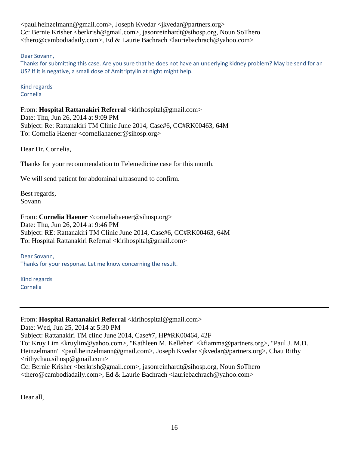<paul.heinzelmann@gmail.com>, Joseph Kvedar <jkvedar@partners.org> Cc: Bernie Krisher <berkrish@gmail.com>, jasonreinhardt@sihosp.org, Noun SoThero <thero@cambodiadaily.com>, Ed & Laurie Bachrach <lauriebachrach@yahoo.com>

Dear Sovann,

Thanks for submitting this case. Are you sure that he does not have an underlying kidney problem? May be send for an US? If it is negative, a small dose of Amitriptylin at night might help.

Kind regards Cornelia

From: Hospital Rattanakiri Referral <kirihospital@gmail.com> Date: Thu, Jun 26, 2014 at 9:09 PM Subject: Re: Rattanakiri TM Clinic June 2014, Case#6, CC#RK00463, 64M To: Cornelia Haener <corneliahaener@sihosp.org>

Dear Dr. Cornelia,

Thanks for your recommendation to Telemedicine case for this month.

We will send patient for abdominal ultrasound to confirm.

Best regards, Sovann

From: **Cornelia Haener** <corneliahaener@sihosp.org> Date: Thu, Jun 26, 2014 at 9:46 PM Subject: RE: Rattanakiri TM Clinic June 2014, Case#6, CC#RK00463, 64M To: Hospital Rattanakiri Referral <kirihospital@gmail.com>

Dear Sovann, Thanks for your response. Let me know concerning the result.

Kind regards Cornelia

### From: Hospital Rattanakiri Referral <kirihospital@gmail.com>

Date: Wed, Jun 25, 2014 at 5:30 PM

Subject: Rattanakiri TM clinc June 2014, Case#7, HP#RK00464, 42F

To: Kruy Lim <kruylim@yahoo.com>, "Kathleen M. Kelleher" <kfiamma@partners.org>, "Paul J. M.D. Heinzelmann" <paul.heinzelmann@gmail.com>, Joseph Kvedar <jkvedar@partners.org>, Chau Rithy <rithychau.sihosp@gmail.com>

Cc: Bernie Krisher <berkrish@gmail.com>, jasonreinhardt@sihosp.org, Noun SoThero <thero@cambodiadaily.com>, Ed & Laurie Bachrach <lauriebachrach@yahoo.com>

Dear all,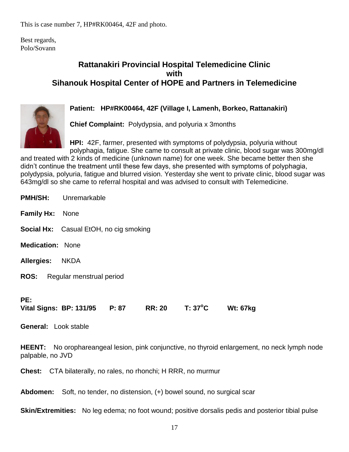This is case number 7, HP#RK00464, 42F and photo.

Best regards, Polo/Sovann

## **Rattanakiri Provincial Hospital Telemedicine Clinic with Sihanouk Hospital Center of HOPE and Partners in Telemedicine**



### **Patient: HP#RK00464, 42F (Village I, Lamenh, Borkeo, Rattanakiri)**

**Chief Complaint:** Polydypsia, and polyuria x 3months

**HPI:** 42F, farmer, presented with symptoms of polydypsia, polyuria without polyphagia, fatigue. She came to consult at private clinic, blood sugar was 300mg/dl

and treated with 2 kinds of medicine (unknown name) for one week. She became better then she didn't continue the treatment until these few days, she presented with symptoms of polyphagia, polydypsia, polyuria, fatigue and blurred vision. Yesterday she went to private clinic, blood sugar was 643mg/dl so she came to referral hospital and was advised to consult with Telemedicine.

|                                    | <b>PMH/SH:</b> Unremarkable            |               |                  |                 |
|------------------------------------|----------------------------------------|---------------|------------------|-----------------|
| <b>Family Hx: None</b>             |                                        |               |                  |                 |
|                                    | Social Hx: Casual EtOH, no cig smoking |               |                  |                 |
| <b>Medication: None</b>            |                                        |               |                  |                 |
| <b>Allergies:</b>                  | <b>NKDA</b>                            |               |                  |                 |
| <b>ROS:</b>                        | Regular menstrual period               |               |                  |                 |
| PE:<br><b>General: Look stable</b> | Vital Signs: BP: 131/95 P: 87          | <b>RR: 20</b> | $T: 37^{\circ}C$ | <b>Wt: 67kg</b> |

**HEENT:** No orophareangeal lesion, pink conjunctive, no thyroid enlargement, no neck lymph node palpable, no JVD

**Chest:** CTA bilaterally, no rales, no rhonchi; H RRR, no murmur

**Abdomen:** Soft, no tender, no distension, (+) bowel sound, no surgical scar

**Skin/Extremities:** No leg edema; no foot wound; positive dorsalis pedis and posterior tibial pulse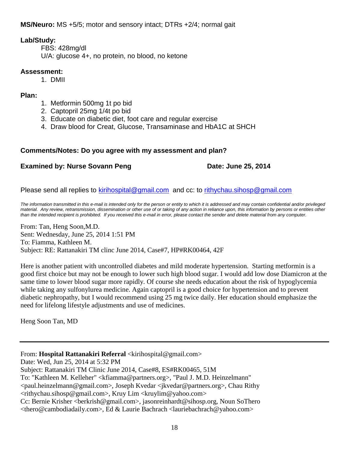**MS/Neuro:** MS +5/5; motor and sensory intact; DTRs +2/4; normal gait

### **Lab/Study:**

FBS: 428mg/dl U/A: glucose 4+, no protein, no blood, no ketone

### **Assessment:**

1. DMII

### **Plan:**

- 1. Metformin 500mg 1t po bid
- 2. Captopril 25mg 1/4t po bid
- 3. Educate on diabetic diet, foot care and regular exercise
- 4. Draw blood for Creat, Glucose, Transaminase and HbA1C at SHCH

### **Comments/Notes: Do you agree with my assessment and plan?**

### **Examined by: Nurse Sovann Peng Date: June 25, 2014**

Please send all replies to [kirihospital@gmail.com](mailto:kirihospital@gmail.com) and cc: to [rithychau.sihosp@gmail.com](mailto:rithychau@sihosp.org)

*The information transmitted in this e-mail is intended only for the person or entity to which it is addressed and may contain confidential and/or privileged material. Any review, retransmission, dissemination or other use of or taking of any action in reliance upon, this information by persons or entities other than the intended recipient is prohibited. If you received this e-mail in error, please contact the sender and delete material from any computer.*

From: Tan, Heng Soon,M.D. Sent: Wednesday, June 25, 2014 1:51 PM To: Fiamma, Kathleen M. Subject: RE: Rattanakiri TM clinc June 2014, Case#7, HP#RK00464, 42F

Here is another patient with uncontrolled diabetes and mild moderate hypertension. Starting metformin is a good first choice but may not be enough to lower such high blood sugar. I would add low dose Diamicron at the same time to lower blood sugar more rapidly. Of course she needs education about the risk of hypoglycemia while taking any sulfonylurea medicine. Again captopril is a good choice for hypertension and to prevent diabetic nephropathy, but I would recommend using 25 mg twice daily. Her education should emphasize the need for lifelong lifestyle adjustments and use of medicines.

Heng Soon Tan, MD

From: Hospital Rattanakiri Referral <kirihospital@gmail.com>

Date: Wed, Jun 25, 2014 at 5:32 PM

Subject: Rattanakiri TM Clinic June 2014, Case#8, ES#RK00465, 51M

To: "Kathleen M. Kelleher" <kfiamma@partners.org>, "Paul J. M.D. Heinzelmann"

<paul.heinzelmann@gmail.com>, Joseph Kvedar <jkvedar@partners.org>, Chau Rithy <rithychau.sihosp@gmail.com>, Kruy Lim <kruylim@yahoo.com>

Cc: Bernie Krisher <berkrish@gmail.com>, jasonreinhardt@sihosp.org, Noun SoThero <thero@cambodiadaily.com>, Ed & Laurie Bachrach <lauriebachrach@yahoo.com>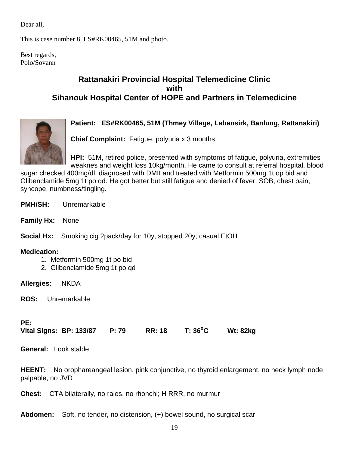Dear all,

This is case number 8, ES#RK00465, 51M and photo.

Best regards, Polo/Sovann

## **Rattanakiri Provincial Hospital Telemedicine Clinic with Sihanouk Hospital Center of HOPE and Partners in Telemedicine**

### **Patient: ES#RK00465, 51M (Thmey Village, Labansirk, Banlung, Rattanakiri)**



**Chief Complaint:** Fatigue, polyuria x 3 months

**HPI:** 51M, retired police, presented with symptoms of fatigue, polyuria, extremities weaknes and weight loss 10kg/month. He came to consult at referral hospital, blood

sugar checked 400mg/dl, diagnosed with DMII and treated with Metformin 500mg 1t op bid and Glibenclamide 5mg 1t po qd. He got better but still fatigue and denied of fever, SOB, chest pain, syncope, numbness/tingling.

- **PMH/SH:** Unremarkable
- **Family Hx:** None

**Social Hx:** Smoking cig 2pack/day for 10y, stopped 20y; casual EtOH

### **Medication:**

- 1. Metformin 500mg 1t po bid
- 2. Glibenclamide 5mg 1t po qd

**Allergies:** NKDA

**ROS:** Unremarkable

### **PE:**

**Vital Signs: BP: 133/87 P: 79 RR: 18 T: 36<sup>o</sup>C Wt: 82kg** 

**General:** Look stable

**HEENT:** No orophareangeal lesion, pink conjunctive, no thyroid enlargement, no neck lymph node palpable, no JVD

**Chest:** CTA bilaterally, no rales, no rhonchi; H RRR, no murmur

**Abdomen:** Soft, no tender, no distension, (+) bowel sound, no surgical scar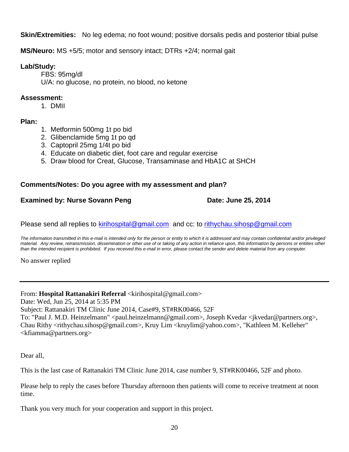**Skin/Extremities:** No leg edema; no foot wound; positive dorsalis pedis and posterior tibial pulse

**MS/Neuro:** MS +5/5; motor and sensory intact; DTRs +2/4; normal gait

### **Lab/Study:**

FBS: 95mg/dl U/A: no glucose, no protein, no blood, no ketone

### **Assessment:**

1. DMII

### **Plan:**

- 1. Metformin 500mg 1t po bid
- 2. Glibenclamide 5mg 1t po qd
- 3. Captopril 25mg 1/4t po bid
- 4. Educate on diabetic diet, foot care and regular exercise
- 5. Draw blood for Creat, Glucose, Transaminase and HbA1C at SHCH

### **Comments/Notes: Do you agree with my assessment and plan?**

### **Examined by: Nurse Sovann Peng Date: June 25, 2014**

Please send all replies to [kirihospital@gmail.com](mailto:kirihospital@gmail.com) and cc: to [rithychau.sihosp@gmail.com](mailto:rithychau@sihosp.org)

*The information transmitted in this e-mail is intended only for the person or entity to which it is addressed and may contain confidential and/or privileged material. Any review, retransmission, dissemination or other use of or taking of any action in reliance upon, this information by persons or entities other than the intended recipient is prohibited. If you received this e-mail in error, please contact the sender and delete material from any computer.*

No answer replied

From: **Hospital Rattanakiri Referral** <kirihospital@gmail.com> Date: Wed, Jun 25, 2014 at 5:35 PM Subject: Rattanakiri TM Clinic June 2014, Case#9, ST#RK00466, 52F To: "Paul J. M.D. Heinzelmann" <paul.heinzelmann@gmail.com>, Joseph Kvedar <jkvedar@partners.org>, Chau Rithy <rithychau.sihosp@gmail.com>, Kruy Lim <kruylim@yahoo.com>, "Kathleen M. Kelleher" <kfiamma@partners.org>

Dear all,

This is the last case of Rattanakiri TM Clinic June 2014, case number 9, ST#RK00466, 52F and photo.

Please help to reply the cases before Thursday afternoon then patients will come to receive treatment at noon time.

Thank you very much for your cooperation and support in this project.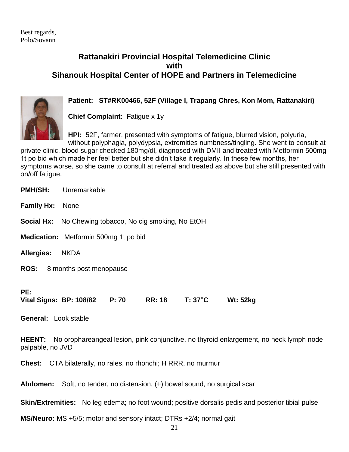### **Rattanakiri Provincial Hospital Telemedicine Clinic with Sihanouk Hospital Center of HOPE and Partners in Telemedicine**



### **Patient: ST#RK00466, 52F (Village I, Trapang Chres, Kon Mom, Rattanakiri)**

**Chief Complaint:** Fatigue x 1y

**HPI:** 52F, farmer, presented with symptoms of fatigue, blurred vision, polyuria, without polyphagia, polydypsia, extremities numbness/tingling. She went to consult at

private clinic, blood sugar checked 180mg/dl, diagnosed with DMII and treated with Metformin 500mg 1t po bid which made her feel better but she didn't take it regularly. In these few months, her symptoms worse, so she came to consult at referral and treated as above but she still presented with on/off fatigue.

**PMH/SH:** Unremarkable **Family Hx:** None **Social Hx:** No Chewing tobacco, No cig smoking, No EtOH **Medication:** Metformin 500mg 1t po bid **Allergies:** NKDA **ROS:** 8 months post menopause **PE: Vital Signs: BP: 108/82 P: 70 RR: 18 T: 37<sup>o</sup>C Wt: 52kg General:** Look stable **HEENT:** No orophareangeal lesion, pink conjunctive, no thyroid enlargement, no neck lymph node palpable, no JVD **Chest:** CTA bilaterally, no rales, no rhonchi; H RRR, no murmur

**Abdomen:** Soft, no tender, no distension, (+) bowel sound, no surgical scar

**Skin/Extremities:** No leg edema; no foot wound; positive dorsalis pedis and posterior tibial pulse

**MS/Neuro:** MS +5/5; motor and sensory intact; DTRs +2/4; normal gait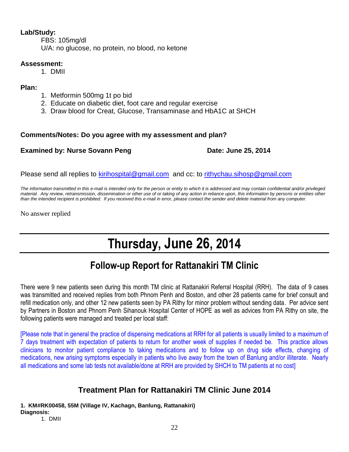### **Lab/Study:**

FBS: 105mg/dl U/A: no glucose, no protein, no blood, no ketone

### **Assessment:**

1. DMII

**Plan:**

- 1. Metformin 500mg 1t po bid
- 2. Educate on diabetic diet, foot care and regular exercise
- 3. Draw blood for Creat, Glucose, Transaminase and HbA1C at SHCH

### **Comments/Notes: Do you agree with my assessment and plan?**

### **Examined by: Nurse Sovann Peng Date: June 25, 2014**

Please send all replies to [kirihospital@gmail.com](mailto:kirihospital@gmail.com) and cc: to [rithychau.sihosp@gmail.com](mailto:rithychau@sihosp.org)

*The information transmitted in this e-mail is intended only for the person or entity to which it is addressed and may contain confidential and/or privileged material. Any review, retransmission, dissemination or other use of or taking of any action in reliance upon, this information by persons or entities other than the intended recipient is prohibited. If you received this e-mail in error, please contact the sender and delete material from any computer.*

No answer replied

# **Thursday, June 26, 2014**

# **Follow-up Report for Rattanakiri TM Clinic**

There were 9 new patients seen during this month TM clinic at Rattanakiri Referral Hospital (RRH). The data of 9 cases was transmitted and received replies from both Phnom Penh and Boston, and other 28 patients came for brief consult and refill medication only, and other 12 new patients seen by PA Rithy for minor problem without sending data. Per advice sent by Partners in Boston and Phnom Penh Sihanouk Hospital Center of HOPE as well as advices from PA Rithy on site, the following patients were managed and treated per local staff:

[Please note that in general the practice of dispensing medications at RRH for all patients is usually limited to a maximum of 7 days treatment with expectation of patients to return for another week of supplies if needed be. This practice allows clinicians to monitor patient compliance to taking medications and to follow up on drug side effects, changing of medications, new arising symptoms especially in patients who live away from the town of Banlung and/or illiterate. Nearly all medications and some lab tests not available/done at RRH are provided by SHCH to TM patients at no cost]

## **Treatment Plan for Rattanakiri TM Clinic June 2014**

**1. KM#RK00458, 55M (Village IV, Kachagn, Banlung, Rattanakiri) Diagnosis:**

1. DMII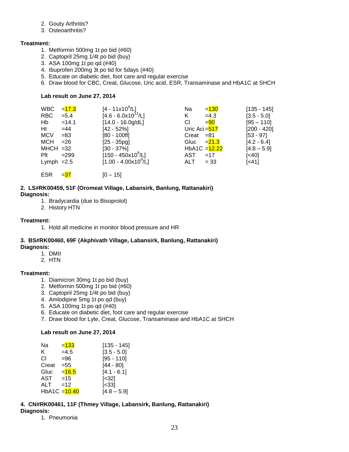- 2. Gouty Arthritis?
- 3. Osteoarthritis?

#### **Treatment:**

- 1. Metformin 500mg 1t po bid (#60)
- 2. Captopril 25mg 1/4t po bid (buy)
- 3. ASA 100mg 1t po qd (#40)
- 4. Ibuprofen 200mg 3t po tid for 5days (#40)
- 5. Educate on diabetic diet, foot care and regular exercise
- 6. Draw blood for CBC, Creat, Glucose, Uric acid, ESR, Transaminase and HbA1C at SHCH

#### **Lab result on June 27, 2014**

| <b>WBC</b>   | $= 17.3$ | $[4 - 11x10^9/L]$                | Na             | $= 130$         | $[135 - 145]$     |
|--------------|----------|----------------------------------|----------------|-----------------|-------------------|
| <b>RBC</b>   | $= 5.4$  | $[4.6 - 6.0x10^{12}/L]$          | K.             | $=4.3$          | $[3.5 - 5.0]$     |
| Hb           | $=14.1$  | $[14.0 - 16.0g/dL]$              | СI             | $= 90$          | $[95 - 110]$      |
| Ht           | $=44$    | $[42 - 52%]$                     | Uric Aci = 517 |                 | $[200 - 420]$     |
| <b>MCV</b>   | $= 83$   | $[80 - 100$ fl]                  | $Creat = 81$   |                 | $[53 - 97]$       |
| MCH          | $= 26$   | $[25 - 35pq]$                    | Gluc           | $= 21.3$        | $[4.2 - 6.4]$     |
| $MHCH = 32$  |          | $[30 - 37\%]$                    |                | $HbA1C = 12.22$ | $[4.8 - 5.9]$     |
| $P$ It       | $= 299$  | $[150 - 450x10^9/L]$             | AST            | $=17$           | $\left[40\right]$ |
| Lymph $=2.5$ |          | $[1.00 - 4.00 \times 10^{9}$ /L] | ALT            | $= 33$          | $[-41]$           |
|              |          |                                  |                |                 |                   |

ESR  $=37$  [0 – 15]

#### **2. LS#RK00459, 51F (Oromeat Village, Labansirk, Banlung, Rattanakiri) Diagnosis:**

- 1. Bradycardia (due to Bisoprolol)
- 2. History HTN

#### **Treatment:**

1. Hold all medicine in monitor blood pressure and HR

#### **3. BS#RK00460, 69F (Akphivath Village, Labansirk, Banlung, Rattanakiri) Diagnosis:**

- 1. DMII
- 2. HTN

#### **Treatment:**

- 1. Diamicron 30mg 1t po bid (buy)
- 2. Metformin 500mg 1t po bid (#60)
- 3. Captopril 25mg 1/4t po bid (buy)
- 4. Amlodipine 5mg 1t po qd (buy)
- 5. ASA 100mg 1t po qd (#40)
- 6. Educate on diabetic diet, foot care and regular exercise
- 7. Draw blood for Lyte, Creat, Glucose, Transaminase and HbA1C at SHCH

#### **Lab result on June 27, 2014**

| Na    | $= 133$                    | $[135 - 145]$ |
|-------|----------------------------|---------------|
| K.    | $=4.5$                     | $[3.5 - 5.0]$ |
| СI    | =96                        | $[95 - 110]$  |
| Creat | $= 55$                     | [44 - 80]     |
| Gluc  | $= 16.5$                   | $[4.1 - 6.1]$ |
| AST   | $=15$                      | $[<32]$       |
| ALT   | $=12$                      | [<33]         |
|       | HbA1C = <mark>10.40</mark> | $[4.8 - 5.9]$ |

#### **4. CN#RK00461, 11F (Thmey Village, Labansirk, Banlung, Rattanakiri) Diagnosis:**

1. Pneumonia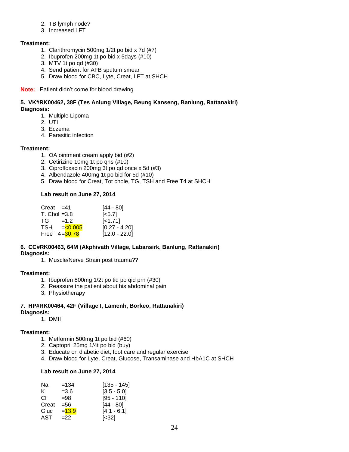- 2. TB lymph node?
- 3. Increased LFT

#### **Treatment:**

- 1. Clarithromycin 500mg 1/2t po bid x 7d (#7)
- 2. Ibuprofen 200mg 1t po bid x 5days (#10)
- 3. MTV 1t po qd (#30)
- 4. Send patient for AFB sputum smear
- 5. Draw blood for CBC, Lyte, Creat, LFT at SHCH

#### **Note:** Patient didn't come for blood drawing

#### **5. VK#RK00462, 38F (Tes Anlung Village, Beung Kanseng, Banlung, Rattanakiri) Diagnosis:**

- 1. Multiple Lipoma
- 2. UTI
- 3. Eczema
- 4. Parasitic infection

#### **Treatment:**

- 1. OA ointment cream apply bid (#2)
- 2. Cetirizine 10mg 1t po qhs (#10)
- 3. Ciprofloxacin 200mg 3t po qd once x 5d (#3)
- 4. Albendazole 400mg 1t po bid for 5d (#10)
- 5. Draw blood for Creat, Tot chole, TG, TSH and Free T4 at SHCH

#### **Lab result on June 27, 2014**

| $[0.27 - 4.20]$ |
|-----------------|
| $[12.0 - 22.0]$ |
|                 |

#### **6. CC#RK00463, 64M (Akphivath Village, Labansirk, Banlung, Rattanakiri) Diagnosis:**

1. Muscle/Nerve Strain post trauma??

#### **Treatment:**

- 1. Ibuprofen 800mg 1/2t po tid po qid prn (#30)
- 2. Reassure the patient about his abdominal pain
- 3. Physiotherapy

#### **7. HP#RK00464, 42F (Village I, Lamenh, Borkeo, Rattanakiri) Diagnosis:**

1. DMII

- **Treatment:**
	- 1. Metformin 500mg 1t po bid (#60)
	- 2. Captopril 25mg 1/4t po bid (buy)
	- 3. Educate on diabetic diet, foot care and regular exercise
	- 4. Draw blood for Lyte, Creat, Glucose, Transaminase and HbA1C at SHCH

#### **Lab result on June 27, 2014**

| Na    | $=134$   | [135 - 145]   |
|-------|----------|---------------|
| K.    | $= 3.6$  | $[3.5 - 5.0]$ |
| СI    | $= 98$   | $[95 - 110]$  |
| Creat | =56      | [44 - 80]     |
| Gluc  | $= 13.9$ | $[4.1 - 6.1]$ |
| AST   | $=22$    | [<32]         |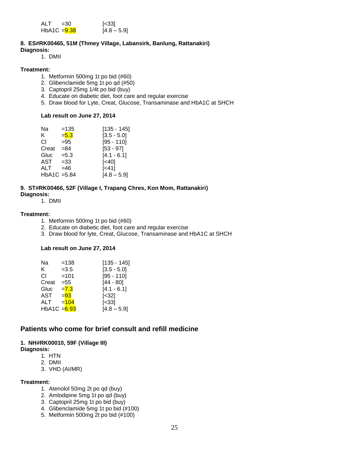| <b>ALT</b>     | $=30$ | $\left[ < 33 \right]$ |
|----------------|-------|-----------------------|
| $HbA1C = 9.38$ |       | $[4.8 - 5.9]$         |

#### **8. ES#RK00465, 51M (Thmey Village, Labansirk, Banlung, Rattanakiri) Diagnosis:**

1. DMII

#### **Treatment:**

- 1. Metformin 500mg 1t po bid (#60)
- 2. Glibenclamide 5mg 1t po qd (#50)
- 3. Captopril 25mg 1/4t po bid (buy)
- 4. Educate on diabetic diet, foot care and regular exercise
- 5. Draw blood for Lyte, Creat, Glucose, Transaminase and HbA1C at SHCH

#### **Lab result on June 27, 2014**

| Na             | $=135$  | [135 - 145]   |
|----------------|---------|---------------|
| K.             | $= 5.3$ | $[3.5 - 5.0]$ |
| СI             | $= 95$  | $[95 - 110]$  |
| Creat          | $= 84$  | $[53 - 97]$   |
| Gluc           | $= 5.3$ | $[4.1 - 6.1]$ |
| AST            | $=33$   | [<40]         |
| ALT            | $=46$   | [<41]         |
| $HbA1C = 5.84$ |         | $[4.8 - 5.9]$ |
|                |         |               |

#### **9. ST#RK00466, 52F (Village I, Trapang Chres, Kon Mom, Rattanakiri)**

**Diagnosis:**

1. DMII

#### **Treatment:**

- 1. Metformin 500mg 1t po bid (#60)
- 2. Educate on diabetic diet, foot care and regular exercise
- 3. Draw blood for lyte, Creat, Glucose, Transaminase and HbA1C at SHCH

#### **Lab result on June 27, 2014**

| Na                        | $=138$  | $[135 - 145]$ |
|---------------------------|---------|---------------|
| K.                        | $=3.5$  | $[3.5 - 5.0]$ |
| СI                        | $=101$  | $[95 - 110]$  |
| Creat                     | $= 55$  | $[44 - 80]$   |
| Gluc                      | $= 7.3$ | $[4.1 - 6.1]$ |
| AST                       | $= 93$  | $[<32]$       |
| ALT                       | $=104$  | [<33]         |
| HbA1C = <mark>6.93</mark> |         | $[4.8 - 5.9]$ |
|                           |         |               |

### **Patients who come for brief consult and refill medicine**

#### **1. NH#RK00010, 59F (Village III)**

**Diagnosis:**

- 1. HTN
- 2. DMII
- 3. VHD (AI/MR)

#### **Treatment:**

- 1. Atenolol 50mg 2t po qd (buy)
- 2. Amlodipine 5mg 1t po qd (buy)
- 3. Captopril 25mg 1t po bid (buy)
- 4. Glibenclamide 5mg 1t po bid (#100)
- 5. Metformin 500mg 2t po bid (#100)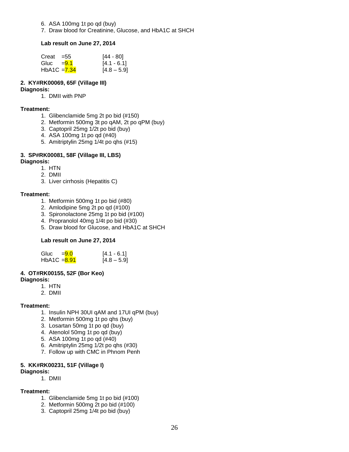- 6. ASA 100mg 1t po qd (buy)
- 7. Draw blood for Creatinine, Glucose, and HbA1C at SHCH

#### **Lab result on June 27, 2014**

| Creat          | $= 55$ | [44 - 80]     |
|----------------|--------|---------------|
| Gluc $= 9.1$   |        | $[4.1 - 6.1]$ |
| $HbA1C = 7.34$ |        | $[4.8 - 5.9]$ |

### **2. KY#RK00069, 65F (Village III)**

#### **Diagnosis:**

1. DMII with PNP

#### **Treatment:**

- 1. Glibenclamide 5mg 2t po bid (#150)
- 2. Metformin 500mg 3t po qAM, 2t po qPM (buy)
- 3. Captopril 25mg 1/2t po bid (buy)
- 4. ASA 100mg 1t po qd (#40)
- 5. Amitriptylin 25mg 1/4t po qhs (#15)

### **3. SP#RK00081, 58F (Village III, LBS)**

### **Diagnosis:**

- 1. HTN
- 2. DMII
- 3. Liver cirrhosis (Hepatitis C)

#### **Treatment:**

- 1. Metformin 500mg 1t po bid (#80)
- 2. Amlodipine 5mg 2t po qd (#100)
- 3. Spironolactone 25mg 1t po bid (#100)
- 4. Propranolol 40mg 1/4t po bid (#30)
- 5. Draw blood for Glucose, and HbA1C at SHCH

### **Lab result on June 27, 2014**

| Gluc           | $= 9.0$ | $[4.1 - 6.1]$ |
|----------------|---------|---------------|
| HbA1C $= 8.91$ |         | $[4.8 - 5.9]$ |

### **4. OT#RK00155, 52F (Bor Keo)**

#### **Diagnosis:**

- 1. HTN
- 2. DMII

#### **Treatment:**

- 1. Insulin NPH 30UI qAM and 17UI qPM (buy)
- 2. Metformin 500mg 1t po qhs (buy)
- 3. Losartan 50mg 1t po qd (buy)
- 4. Atenolol 50mg 1t po qd (buy)
- 5. ASA 100mg 1t po qd (#40)
- 6. Amitriptylin 25mg 1/2t po qhs (#30)
- 7. Follow up with CMC in Phnom Penh

### **5. KK#RK00231, 51F (Village I)**

### **Diagnosis:**

1. DMII

#### **Treatment:**

- 1. Glibenclamide 5mg 1t po bid (#100)
- 2. Metformin 500mg 2t po bid (#100)
- 3. Captopril 25mg 1/4t po bid (buy)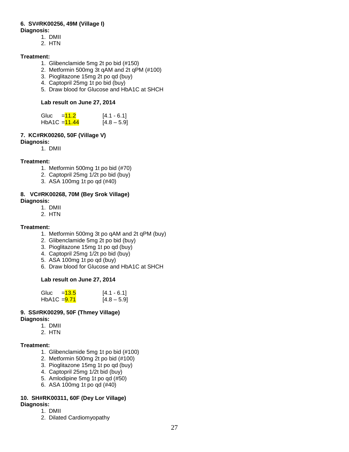### **6. SV#RK00256, 49M (Village I)**

#### **Diagnosis:**

- 1. DMII
- 2. HTN

#### **Treatment:**

- 1. Glibenclamide 5mg 2t po bid (#150)
- 2. Metformin 500mg 3t qAM and 2t qPM (#100)
- 3. Pioglitazone 15mg 2t po qd (buy)
- 4. Captopril 25mg 1t po bid (buy)
- 5. Draw blood for Glucose and HbA1C at SHCH

#### **Lab result on June 27, 2014**

| Gluc            | $=11.2$ | $[4.1 - 6.1]$ |
|-----------------|---------|---------------|
| $HbA1C = 11.44$ |         | $[4.8 - 5.9]$ |

### **7. KC#RK00260, 50F (Village V)**

**Diagnosis:** 

1. DMII

#### **Treatment:**

- 1. Metformin 500mg 1t po bid (#70)
- 2. Captopril 25mg 1/2t po bid (buy)
- 3. ASA 100mg 1t po qd (#40)

#### **8. VC#RK00268, 70M (Bey Srok Village) Diagnosis:**

- 1. DMII
- 2. HTN

#### **Treatment:**

- 1. Metformin 500mg 3t po qAM and 2t qPM (buy)
- 2. Glibenclamide 5mg 2t po bid (buy)
- 3. Pioglitazone 15mg 1t po qd (buy)
- 4. Captopril 25mg 1/2t po bid (buy)
- 5. ASA 100mg 1t po qd (buy)
- 6. Draw blood for Glucose and HbA1C at SHCH

#### **Lab result on June 27, 2014**

| Gluc           | $=13.5$ | $[4.1 - 6.1]$ |
|----------------|---------|---------------|
| HbA1C $=$ 9.71 |         | $[4.8 - 5.9]$ |

#### **9. SS#RK00299, 50F (Thmey Village) Diagnosis:**

- 1. DMII
- 2. HTN
- 

### **Treatment:**

- 1. Glibenclamide 5mg 1t po bid (#100)
- 2. Metformin 500mg 2t po bid (#100)
- 3. Pioglitazone 15mg 1t po qd (buy)
- 4. Captopril 25mg 1/2t bid (buy)
- 5. Amlodipine 5mg 1t po qd (#50)
- 6. ASA 100mg 1t po qd (#40)

### **10. SH#RK00311, 60F (Dey Lor Village)**

- **Diagnosis:**
	- 1. DMII 2. Dilated Cardiomyopathy
-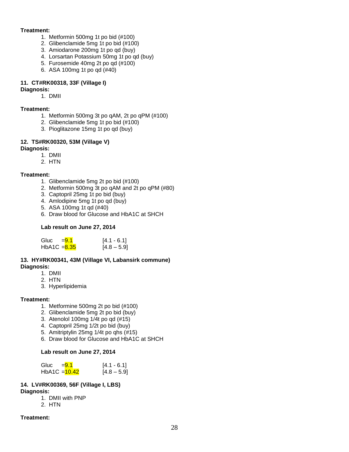#### **Treatment:**

- 1. Metformin 500mg 1t po bid (#100)
	- 2. Glibenclamide 5mg 1t po bid (#100)
	- 3. Amiodarone 200mg 1t po qd (buy)
	- 4. Lorsartan Potassium 50mg 1t po qd (buy)
	- 5. Furosemide 40mg 2t po qd (#100)
	- 6. ASA 100mg 1t po qd (#40)

### **11. CT#RK00318, 33F (Village I)**

#### **Diagnosis:**

1. DMII

#### **Treatment:**

- 1. Metformin 500mg 3t po qAM, 2t po qPM (#100)
- 2. Glibenclamide 5mg 1t po bid (#100)
- 3. Pioglitazone 15mg 1t po qd (buy)

#### **12. TS#RK00320, 53M (Village V)**

#### **Diagnosis:**

- 1. DMII
- 2. HTN

#### **Treatment:**

- 1. Glibenclamide 5mg 2t po bid (#100)
- 2. Metformin 500mg 3t po qAM and 2t po qPM (#80)
- 3. Captopril 25mg 1t po bid (buy)
- 4. Amlodipine 5mg 1t po qd (buy)
- 5. ASA 100mg 1t qd (#40)
- 6. Draw blood for Glucose and HbA1C at SHCH

#### **Lab result on June 27, 2014**

| Gluc           | $= 9.1$ | $[4.1 - 6.1]$ |
|----------------|---------|---------------|
| $HbA1C = 8.35$ |         | $[4.8 - 5.9]$ |

#### **13. HY#RK00341, 43M (Village VI, Labansirk commune) Diagnosis:**

- 1. DMII
- 2. HTN
- 3. Hyperlipidemia

#### **Treatment:**

- 1. Metformine 500mg 2t po bid (#100)
- 2. Glibenclamide 5mg 2t po bid (buy)
- 3. Atenolol 100mg 1/4t po qd (#15)
- 4. Captopril 25mg 1/2t po bid (buy)
- 5. Amitriptylin 25mg 1/4t po qhs (#15)
- 6. Draw blood for Glucose and HbA1C at SHCH

#### **Lab result on June 27, 2014**

| Gluc            | $= 9.1$ | $[4.1 - 6.1]$ |
|-----------------|---------|---------------|
| $HbA1C = 10.42$ |         | $[4.8 - 5.9]$ |

### **14. LV#RK00369, 56F (Village I, LBS)**

### **Diagnosis:**

- 1. DMII with PNP
- 2. HTN

#### **Treatment:**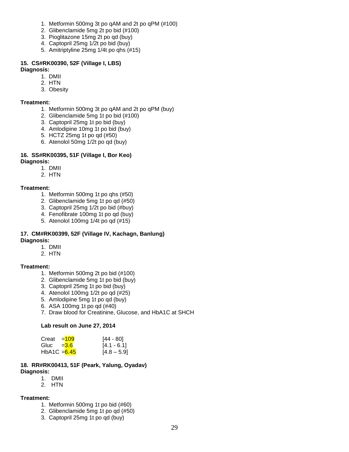- 1. Metformin 500mg 3t po qAM and 2t po qPM (#100)
- 2. Glibenclamide 5mg 2t po bid (#100)
- 3. Pioglitazone 15mg 2t po qd (buy)
- 4. Captopril 25mg 1/2t po bid (buy)
- 5. Amitriptyline 25mg 1/4t po qhs (#15)

### **15. CS#RK00390, 52F (Village I, LBS)**

#### **Diagnosis:**

- 1. DMII
- 2. HTN
- 3. Obesity

#### **Treatment:**

- 1. Metformin 500mg 3t po qAM and 2t po qPM (buy)
- 2. Glibenclamide 5mg 1t po bid (#100)
- 3. Captopril 25mg 1t po bid (buy)
- 4. Amlodipine 10mg 1t po bid (buy)
- 5. HCTZ 25mg 1t po qd (#50)
- 6. Atenolol 50mg 1/2t po qd (buy)

#### **16. SS#RK00395, 51F (Village I, Bor Keo) Diagnosis:**

- 1. DMII
	- 2. HTN

#### **Treatment:**

- 1. Metformin 500mg 1t po qhs (#50)
- 2. Glibenclamide 5mg 1t po qd (#50)
- 3. Captopril 25mg 1/2t po bid (#buy)
- 4. Fenofibrate 100mg 1t po qd (buy)
- 5. Atenolol 100mg 1/4t po qd (#15)

#### **17. CM#RK00399, 52F (Village IV, Kachagn, Banlung) Diagnosis:**

- 1. DMII
- 2. HTN

#### **Treatment:**

- 1. Metformin 500mg 2t po bid (#100)
- 2. Glibenclamide 5mg 1t po bid (buy)
- 3. Captopril 25mg 1t po bid (buy)
- 4. Atenolol 100mg 1/2t po qd (#25)
- 5. Amlodipine 5mg 1t po qd (buy)
- 6. ASA 100mg 1t po qd (#40)
- 7. Draw blood for Creatinine, Glucose, and HbA1C at SHCH

#### **Lab result on June 27, 2014**

| Creat         | $=109$ | [44 - 80]     |
|---------------|--------|---------------|
| Gluc $=$ 3.6  |        | $[4.1 - 6.1]$ |
| HbA1C $=6.45$ |        | $[4.8 - 5.9]$ |

#### **18. RR#RK00413, 51F (Peark, Yalung, Oyadav) Diagnosis:**

- 1. DMII
- 2. HTN

#### **Treatment:**

- 1. Metformin 500mg 1t po bid (#60)
- 2. Glibenclamide 5mg 1t po qd (#50)
- 3. Captopril 25mg 1t po qd (buy)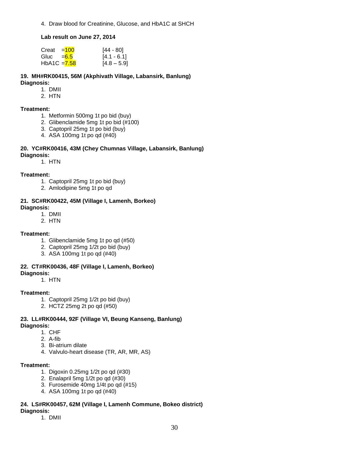4. Draw blood for Creatinine, Glucose, and HbA1C at SHCH

#### **Lab result on June 27, 2014**

| Creat         | $= 100$ | [44 - 80]     |
|---------------|---------|---------------|
| Gluc =6.5     |         | $[4.1 - 6.1]$ |
| HbA1C $=7.58$ |         | $[4.8 - 5.9]$ |

**19. MH#RK00415, 56M (Akphivath Village, Labansirk, Banlung) Diagnosis:**

- 1. DMII
- 2. HTN

#### **Treatment:**

- 1. Metformin 500mg 1t po bid (buy)
- 2. Glibenclamide 5mg 1t po bid (#100)
- 3. Captopril 25mg 1t po bid (buy)
- 4. ASA 100mg 1t po qd (#40)

#### **20. YC#RK00416, 43M (Chey Chumnas Village, Labansirk, Banlung) Diagnosis:**

1. HTN

#### **Treatment:**

- 1. Captopril 25mg 1t po bid (buy)
- 2. Amlodipine 5mg 1t po qd

#### **21. SC#RK00422, 45M (Village I, Lamenh, Borkeo) Diagnosis:**

1. DMII

2. HTN

#### **Treatment:**

- 1. Glibenclamide 5mg 1t po qd (#50)
- 2. Captopril 25mg 1/2t po bid (buy)
- 3. ASA 100mg 1t po qd (#40)

#### **22. CT#RK00436, 48F (Village I, Lamenh, Borkeo)**

**Diagnosis:**

1. HTN

#### **Treatment:**

- 1. Captopril 25mg 1/2t po bid (buy)
- 2. HCTZ 25mg 2t po qd (#50)

### **23. LL#RK00444, 92F (Village VI, Beung Kanseng, Banlung)**

#### **Diagnosis:**

- 1. CHF
	- 2. A-fib
	- 3. Bi-atrium dilate
	- 4. Valvulo-heart disease (TR, AR, MR, AS)

#### **Treatment:**

- 1. Digoxin 0.25mg 1/2t po qd (#30)
- 2. Enalapril 5mg 1/2t po qd (#30)
- 3. Furosemide 40mg 1/4t po qd (#15)
- 4. ASA 100mg 1t po qd (#40)

#### **24. LS#RK00457, 62M (Village I, Lamenh Commune, Bokeo district) Diagnosis:**

1. DMII